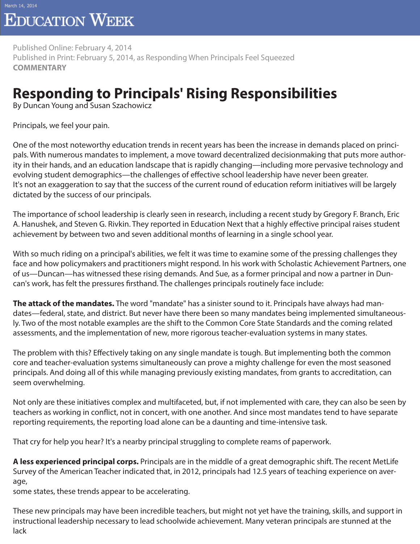## **EDUCATION WEEK**

Published Online: February 4, 2014 Published in Print: February 5, 2014, as Responding When Principals Feel Squeezed **COMMENTARY**

## **Responding to Principals' Rising Responsibilities**

By Duncan Young and Susan Szachowicz

Principals, we feel your pain.

One of the most noteworthy education trends in recent years has been the increase in demands placed on principals. With numerous mandates to implement, a move toward decentralized decisionmaking that puts more authority in their hands, and an education landscape that is rapidly changing—including more pervasive technology and evolving student demographics—the challenges of effective school leadership have never been greater. It's not an exaggeration to say that the success of the current round of education reform initiatives will be largely dictated by the success of our principals.

The importance of school leadership is clearly seen in research, including a recent study by Gregory F. Branch, Eric A. Hanushek, and Steven G. Rivkin. They reported in Education Next that a highly effective principal raises student achievement by between two and seven additional months of learning in a single school year.

With so much riding on a principal's abilities, we felt it was time to examine some of the pressing challenges they face and how policymakers and practitioners might respond. In his work with Scholastic Achievement Partners, one of us—Duncan—has witnessed these rising demands. And Sue, as a former principal and now a partner in Duncan's work, has felt the pressures firsthand. The challenges principals routinely face include:

**The attack of the mandates.** The word "mandate" has a sinister sound to it. Principals have always had mandates—federal, state, and district. But never have there been so many mandates being implemented simultaneously. Two of the most notable examples are the shift to the Common Core State Standards and the coming related assessments, and the implementation of new, more rigorous teacher-evaluation systems in many states.

The problem with this? Effectively taking on any single mandate is tough. But implementing both the common core and teacher-evaluation systems simultaneously can prove a mighty challenge for even the most seasoned principals. And doing all of this while managing previously existing mandates, from grants to accreditation, can seem overwhelming.

Not only are these initiatives complex and multifaceted, but, if not implemented with care, they can also be seen by teachers as working in conflict, not in concert, with one another. And since most mandates tend to have separate reporting requirements, the reporting load alone can be a daunting and time-intensive task.

That cry for help you hear? It's a nearby principal struggling to complete reams of paperwork.

**A less experienced principal corps.** Principals are in the middle of a great demographic shift. The recent MetLife Survey of the American Teacher indicated that, in 2012, principals had 12.5 years of teaching experience on average,

some states, these trends appear to be accelerating.

These new principals may have been incredible teachers, but might not yet have the training, skills, and support in instructional leadership necessary to lead schoolwide achievement. Many veteran principals are stunned at the lack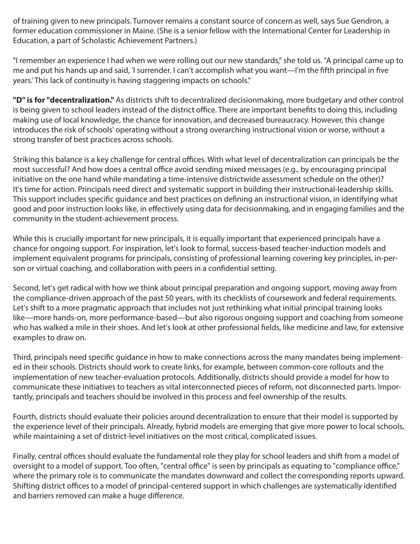of training given to new principals. Turnover remains a constant source of concern as well, says Sue Gendron, a former education commissioner in Maine. (She is a senior fellow with the International Center for Leadership in Education, a part of Scholastic Achievement Partners.)

"I remember an experience I had when we were rolling out our new standards," she told us. "A principal came up to me and put his hands up and said, 'I surrender. I can't accomplish what you want—I'm the fifth principal in five years.' This lack of continuity is having staggering impacts on schools."

**"D" is for "decentralization."** As districts shift to decentralized decisionmaking, more budgetary and other control is being given to school leaders instead of the district office. There are important benefits to doing this, including making use of local knowledge, the chance for innovation, and decreased bureaucracy. However, this change introduces the risk of schools' operating without a strong overarching instructional vision or worse, without a strong transfer of best practices across schools.

Striking this balance is a key challenge for central offices. With what level of decentralization can principals be the most successful? And how does a central office avoid sending mixed messages (e.g., by encouraging principal initiative on the one hand while mandating a time-intensive districtwide assessment schedule on the other)? It's time for action. Principals need direct and systematic support in building their instructional-leadership skills. This support includes specific guidance and best practices on defining an instructional vision, in identifying what good and poor instruction looks like, in effectively using data for decisionmaking, and in engaging families and the community in the student-achievement process.

While this is crucially important for new principals, it is equally important that experienced principals have a chance for ongoing support. For inspiration, let's look to formal, success-based teacher-induction models and implement equivalent programs for principals, consisting of professional learning covering key principles, in-person or virtual coaching, and collaboration with peers in a confidential setting.

Second, let's get radical with how we think about principal preparation and ongoing support, moving away from the compliance-driven approach of the past 50 years, with its checklists of coursework and federal requirements. Let's shift to a more pragmatic approach that includes not just rethinking what initial principal training looks like—more hands-on, more performance-based—but also rigorous ongoing support and coaching from someone who has walked a mile in their shoes. And let's look at other professional fields, like medicine and law, for extensive examples to draw on.

Third, principals need specific guidance in how to make connections across the many mandates being implemented in their schools. Districts should work to create links, for example, between common-core rollouts and the implementation of new teacher-evaluation protocols. Additionally, districts should provide a model for how to communicate these initiatives to teachers as vital interconnected pieces of reform, not disconnected parts. Importantly, principals and teachers should be involved in this process and feel ownership of the results.

Fourth, districts should evaluate their policies around decentralization to ensure that their model is supported by the experience level of their principals. Already, hybrid models are emerging that give more power to local schools, while maintaining a set of district-level initiatives on the most critical, complicated issues.

Finally, central offices should evaluate the fundamental role they play for school leaders and shift from a model of oversight to a model of support. Too often, "central office" is seen by principals as equating to "compliance office," where the primary role is to communicate the mandates downward and collect the corresponding reports upward. Shifting district offices to a model of principal-centered support in which challenges are systematically identified and barriers removed can make a huge difference.